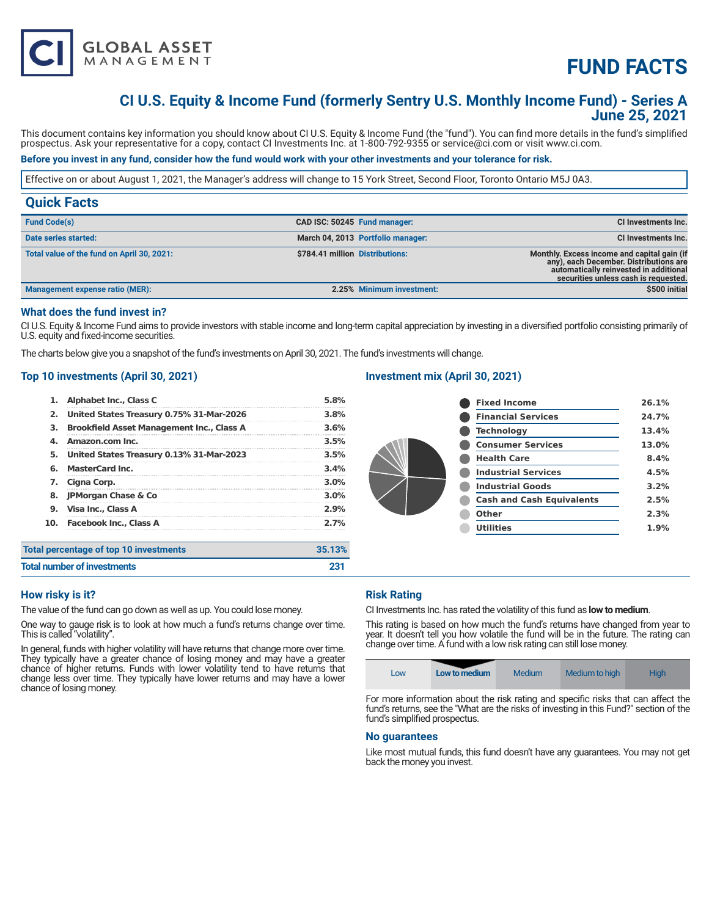

# **FUND FACTS**

# **CI U.S. Equity & Income Fund (formerly Sentry U.S. Monthly Income Fund) - Series A June 25, 2021**

This document contains key information you should know about CI U.S. Equity & Income Fund (the "fund"). You can find more details in the fund's simplified prospectus. Ask your representative for a copy, contact CI Investments Inc. at 1-800-792-9355 or service@ci.com or visit www.ci.com.

# **Before you invest in any fund, consider how the fund would work with your other investments and your tolerance for risk.**

Effective on or about August 1, 2021, the Manager's address will change to 15 York Street, Second Floor, Toronto Ontario M5J 0A3.

| <b>Quick Facts</b>                         |                                 |                                   |                                                                                                                                                                         |
|--------------------------------------------|---------------------------------|-----------------------------------|-------------------------------------------------------------------------------------------------------------------------------------------------------------------------|
| <b>Fund Code(s)</b>                        | CAD ISC: 50245 Fund manager:    |                                   | <b>CI Investments Inc.</b>                                                                                                                                              |
| Date series started:                       |                                 | March 04, 2013 Portfolio manager: | CI Investments Inc.                                                                                                                                                     |
| Total value of the fund on April 30, 2021: | \$784.41 million Distributions: |                                   | Monthly. Excess income and capital gain (if<br>any), each December. Distributions are<br>automatically reinvested in additional<br>securities unless cash is requested. |
| Management expense ratio (MER):            |                                 | 2.25% Minimum investment:         | \$500 initial                                                                                                                                                           |

### **What does the fund invest in?**

CI U.S. Equity & Income Fund aims to provide investors with stable income and long-term capital appreciation by investing in a diversified portfolio consisting primarily of U.S. equity and fixed-income securities.

The charts below give you a snapshot of the fund's investments on April 30, 2021. The fund's investments will change.

### **Top 10 investments (April 30, 2021)**

| Total percentage of top 10 investments |                                                  | 35.13%  |
|----------------------------------------|--------------------------------------------------|---------|
|                                        | 10. Facebook Inc., Class A                       | 2.7%    |
| 9.                                     | Visa Inc., Class A                               | 2.9%    |
| 8.                                     | <b>JPMorgan Chase &amp; Co</b>                   | 3.0%    |
| 7.                                     | Cigna Corp.                                      | $3.0\%$ |
| 6.                                     | <b>MasterCard Inc.</b>                           | 3.4%    |
| 5.                                     | United States Treasury 0.13% 31-Mar-2023         | 3.5%    |
| 4.                                     | Amazon.com Inc.                                  | 3.5%    |
| 3.                                     | <b>Brookfield Asset Management Inc., Class A</b> | 3.6%    |
| 2.                                     | United States Treasury 0.75% 31-Mar-2026         | 3.8%    |
| 1.                                     | <b>Alphabet Inc., Class C</b>                    | 5.8%    |

# **Investment mix (April 30, 2021)**

| <b>Fixed Income</b>              | 26.1% |
|----------------------------------|-------|
| <b>Financial Services</b>        | 24.7% |
| <b>Technology</b>                | 13.4% |
| <b>Consumer Services</b>         | 13.0% |
| <b>Health Care</b>               | 8.4%  |
| <b>Industrial Services</b>       | 4.5%  |
| <b>Industrial Goods</b>          | 3.2%  |
| <b>Cash and Cash Equivalents</b> | 2.5%  |
| Other                            | 2.3%  |
| <b>Utilities</b>                 | 1.9%  |

| <b>Total number of investments</b> |  |
|------------------------------------|--|
|                                    |  |

# **How risky is it?**

The value of the fund can go down as well as up. You could lose money.

One way to gauge risk is to look at how much a fund's returns change over time. This is called "volatility".

In general, funds with higher volatility will have returns that change more over time. They typically have a greater chance of losing money and may have a greater chance of higher returns. Funds with lower volatility tend to have returns that change less over time. They typically have lower returns and may have a lower chance of losing money.

### **Risk Rating**

CI Investments Inc. has rated the volatility of this fund as **low to medium**.

This rating is based on how much the fund's returns have changed from year to year. It doesn't tell you how volatile the fund will be in the future. The rating can change over time. A fund with a low risk rating can still lose money.

| Medium to high<br>Medium<br><b>High</b><br>Low to medium<br>LOW |  |
|-----------------------------------------------------------------|--|
|-----------------------------------------------------------------|--|

For more information about the risk rating and specific risks that can affect the fund's returns, see the "What are the risks of investing in this Fund?" section of the fund's simplified prospectus.

#### **No guarantees**

Like most mutual funds, this fund doesn't have any guarantees. You may not get back the money you invest.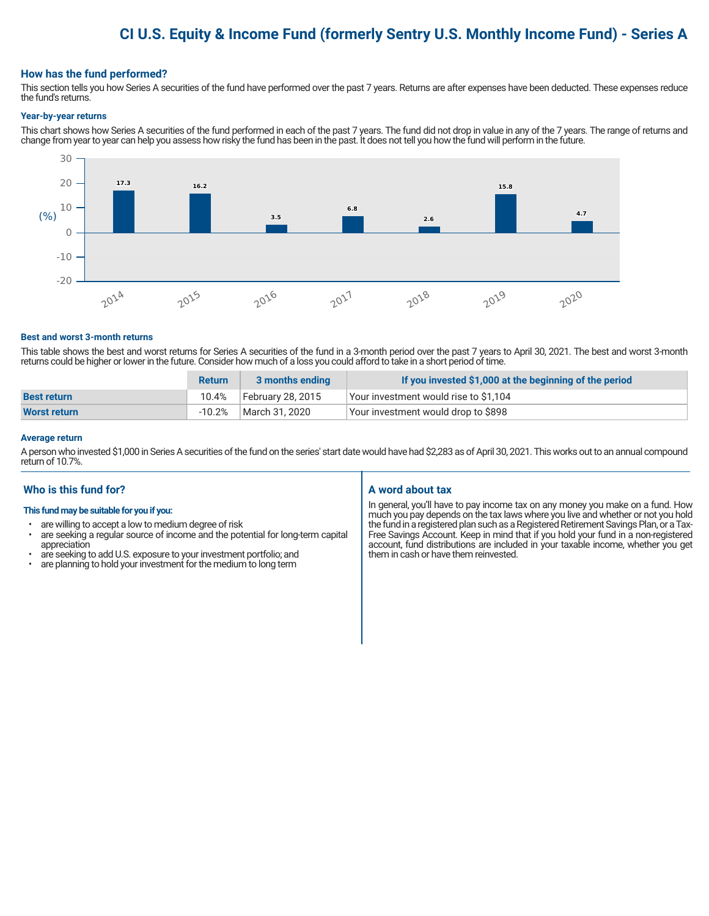# **CI U.S. Equity & Income Fund (formerly Sentry U.S. Monthly Income Fund) - Series A**

### **How has the fund performed?**

This section tells you how Series A securities of the fund have performed over the past 7 years. Returns are after expenses have been deducted. These expenses reduce the fund's returns.

#### **Year-by-year returns**

This chart shows how Series A securities of the fund performed in each of the past 7 years. The fund did not drop in value in any of the 7 years. The range of returns and change from year to year can help you assess how risky the fund has been in the past. It does not tell you how the fund will perform in the future.



#### **Best and worst 3-month returns**

This table shows the best and worst returns for Series A securities of the fund in a 3-month period over the past 7 years to April 30, 2021. The best and worst 3-month returns could be higher or lower in the future. Consider how much of a loss you could afford to take in a short period of time.

|                     | <b>Return</b> | 3 months ending   | If you invested \$1,000 at the beginning of the period |
|---------------------|---------------|-------------------|--------------------------------------------------------|
| <b>Best return</b>  | 10.4%         | February 28, 2015 | Your investment would rise to \$1,104                  |
| <b>Worst return</b> | $-10.2%$      | March 31, 2020    | Your investment would drop to \$898                    |

#### **Average return**

A person who invested \$1,000 in Series A securities of the fund on the series' start date would have had \$2,283 as of April 30, 2021. This works out to an annual compound return of 10.7%.

# **Who is this fund for?**

#### **This fund may be suitable for you if you:**

- are willing to accept a low to medium degree of risk
- are seeking a regular source of income and the potential for long-term capital appreciation
- are seeking to add U.S. exposure to your investment portfolio; and<br>• are planning to hold your investment for the medium to long term
- are planning to hold your investment for the medium to long term

# **A word about tax**

In general, you'll have to pay income tax on any money you make on a fund. How much you pay depends on the tax laws where you live and whether or not you hold the fund in a registered plan such as a Registered Retirement Savings Plan, or a Tax-Free Savings Account. Keep in mind that if you hold your fund in a non-registered account, fund distributions are included in your taxable income, whether you get them in cash or have them reinvested.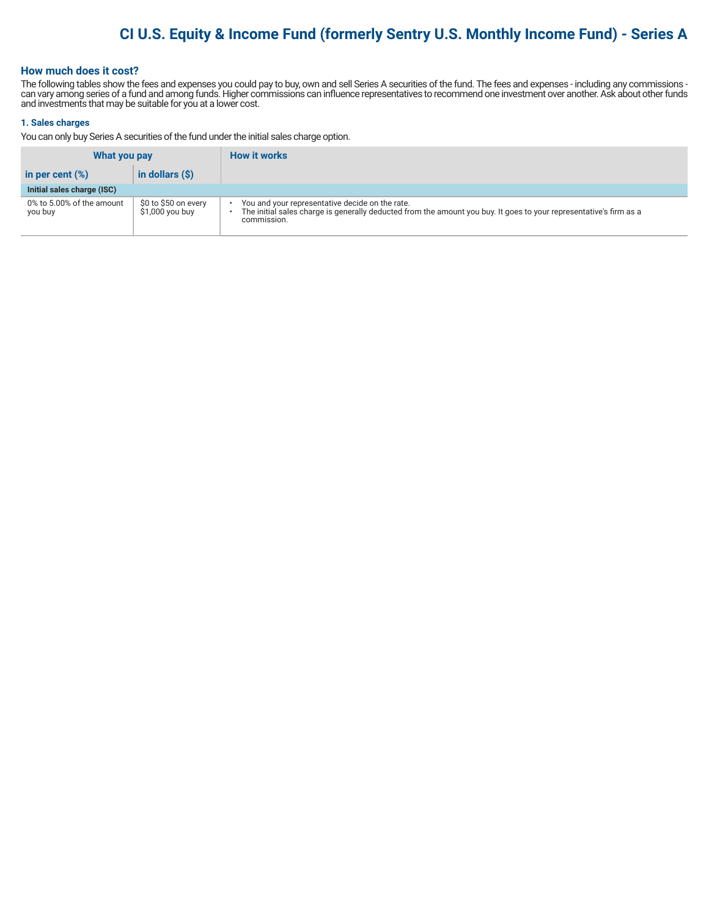# **CI U.S. Equity & Income Fund (formerly Sentry U.S. Monthly Income Fund) - Series A**

# **How much does it cost?**

The following tables show the fees and expenses you could pay to buy, own and sell Series A securities of the fund. The fees and expenses - including any commissions can vary among series of a fund and among funds. Higher commissions can influence representatives to recommend one investment over another. Ask about other funds and investments that may be suitable for you at a lower cost.

#### **1. Sales charges**

You can only buy Series A securities of the fund under the initial sales charge option.

| What you pay                         |                                          | <b>How it works</b>                                                                                                                                                                  |
|--------------------------------------|------------------------------------------|--------------------------------------------------------------------------------------------------------------------------------------------------------------------------------------|
| in per cent $(\%)$                   | in dollars $(\hat{S})$                   |                                                                                                                                                                                      |
| Initial sales charge (ISC)           |                                          |                                                                                                                                                                                      |
| 0% to 5.00% of the amount<br>you buy | \$0 to \$50 on every<br>$$1,000$ you buy | You and your representative decide on the rate.<br>The initial sales charge is generally deducted from the amount you buy. It goes to your representative's firm as a<br>commission. |